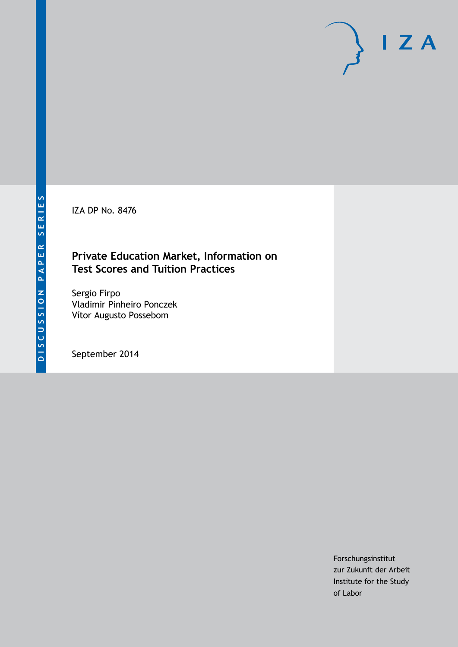IZA DP No. 8476

## **Private Education Market, Information on Test Scores and Tuition Practices**

Sergio Firpo Vladimir Pinheiro Ponczek Vítor Augusto Possebom

September 2014

Forschungsinstitut zur Zukunft der Arbeit Institute for the Study of Labor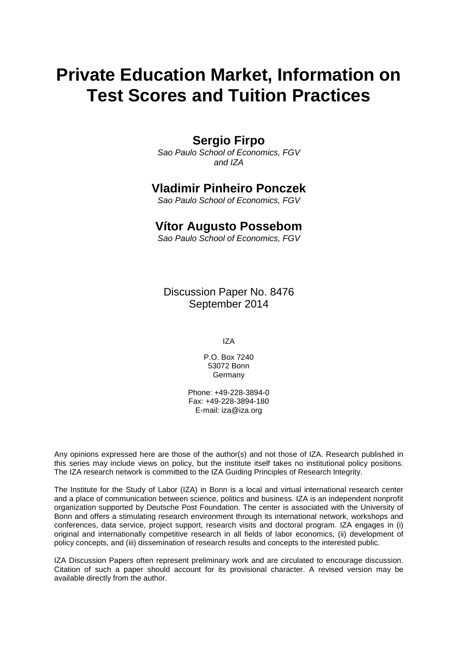# **Private Education Market, Information on Test Scores and Tuition Practices**

## **Sergio Firpo**

*Sao Paulo School of Economics, FGV and IZA*

### **Vladimir Pinheiro Ponczek**

*Sao Paulo School of Economics, FGV*

## **Vítor Augusto Possebom**

*Sao Paulo School of Economics, FGV*

Discussion Paper No. 8476 September 2014

IZA

P.O. Box 7240 53072 Bonn Germany

Phone: +49-228-3894-0 Fax: +49-228-3894-180 E-mail: [iza@iza.org](mailto:iza@iza.org)

Any opinions expressed here are those of the author(s) and not those of IZA. Research published in this series may include views on policy, but the institute itself takes no institutional policy positions. The IZA research network is committed to the IZA Guiding Principles of Research Integrity.

The Institute for the Study of Labor (IZA) in Bonn is a local and virtual international research center and a place of communication between science, politics and business. IZA is an independent nonprofit organization supported by Deutsche Post Foundation. The center is associated with the University of Bonn and offers a stimulating research environment through its international network, workshops and conferences, data service, project support, research visits and doctoral program. IZA engages in (i) original and internationally competitive research in all fields of labor economics, (ii) development of policy concepts, and (iii) dissemination of research results and concepts to the interested public.

<span id="page-1-0"></span>IZA Discussion Papers often represent preliminary work and are circulated to encourage discussion. Citation of such a paper should account for its provisional character. A revised version may be available directly from the author.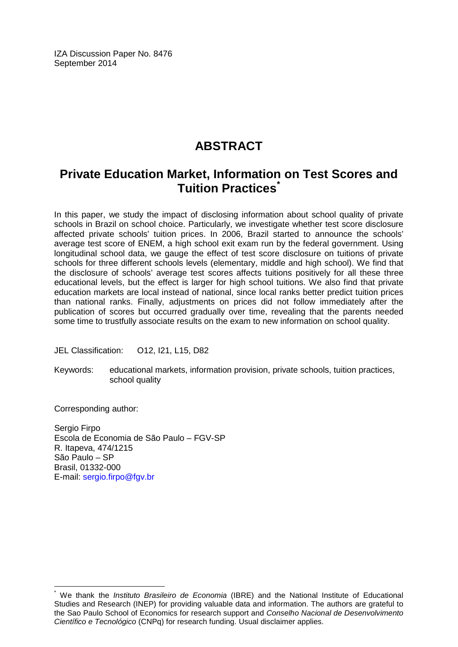IZA Discussion Paper No. 8476 September 2014

# **ABSTRACT**

## **Private Education Market, Information on Test Scores and Tuition Practices[\\*](#page-1-0)**

In this paper, we study the impact of disclosing information about school quality of private schools in Brazil on school choice. Particularly, we investigate whether test score disclosure affected private schools' tuition prices. In 2006, Brazil started to announce the schools' average test score of ENEM, a high school exit exam run by the federal government. Using longitudinal school data, we gauge the effect of test score disclosure on tuitions of private schools for three different schools levels (elementary, middle and high school). We find that the disclosure of schools' average test scores affects tuitions positively for all these three educational levels, but the effect is larger for high school tuitions. We also find that private education markets are local instead of national, since local ranks better predict tuition prices than national ranks. Finally, adjustments on prices did not follow immediately after the publication of scores but occurred gradually over time, revealing that the parents needed some time to trustfully associate results on the exam to new information on school quality.

JEL Classification: O12, I21, L15, D82

Keywords: educational markets, information provision, private schools, tuition practices, school quality

Corresponding author:

Sergio Firpo Escola de Economia de São Paulo – FGV-SP R. Itapeva, 474/1215 São Paulo – SP Brasil, 01332-000 E-mail: [sergio.firpo@fgv.br](mailto:sergio.firpo@fgv.br)

We thank the *Instituto Brasileiro de Economia* (IBRE) and the National Institute of Educational Studies and Research (INEP) for providing valuable data and information. The authors are grateful to the Sao Paulo School of Economics for research support and *Conselho Nacional de Desenvolvimento Científico e Tecnológico* (CNPq) for research funding. Usual disclaimer applies.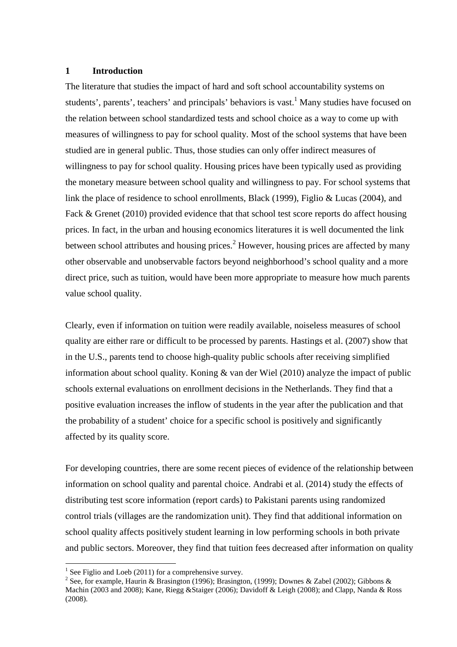#### **1 Introduction**

The literature that studies the impact of hard and soft school accountability systems on students', parents', teachers' and principals' behaviors is vast.<sup>1</sup> Many studies have focused on the relation between school standardized tests and school choice as a way to come up with measures of willingness to pay for school quality. Most of the school systems that have been studied are in general public. Thus, those studies can only offer indirect measures of willingness to pay for school quality. Housing prices have been typically used as providing the monetary measure between school quality and willingness to pay. For school systems that link the place of residence to school enrollments, Black (1999), Figlio & Lucas (2004), and Fack & Grenet (2010) provided evidence that that school test score reports do affect housing prices. In fact, in the urban and housing economics literatures it is well documented the link between school attributes and housing prices.<sup>2</sup> However, housing prices are affected by many other observable and unobservable factors beyond neighborhood's school quality and a more direct price, such as tuition, would have been more appropriate to measure how much parents value school quality.

Clearly, even if information on tuition were readily available, noiseless measures of school quality are either rare or difficult to be processed by parents. Hastings et al. (2007) show that in the U.S., parents tend to choose high-quality public schools after receiving simplified information about school quality. Koning & van der Wiel (2010) analyze the impact of public schools external evaluations on enrollment decisions in the Netherlands. They find that a positive evaluation increases the inflow of students in the year after the publication and that the probability of a student' choice for a specific school is positively and significantly affected by its quality score.

For developing countries, there are some recent pieces of evidence of the relationship between information on school quality and parental choice. Andrabi et al. (2014) study the effects of distributing test score information (report cards) to Pakistani parents using randomized control trials (villages are the randomization unit). They find that additional information on school quality affects positively student learning in low performing schools in both private and public sectors. Moreover, they find that tuition fees decreased after information on quality

 $\overline{a}$ 

<sup>&</sup>lt;sup>1</sup> See Figlio and Loeb (2011) for a comprehensive survey.

<sup>&</sup>lt;sup>2</sup> See, for example, Haurin & Brasington (1996); Brasington, (1999); Downes & Zabel (2002); Gibbons & Machin (2003 and 2008); Kane, Riegg &Staiger (2006); Davidoff & Leigh (2008); and Clapp, Nanda & Ross (2008).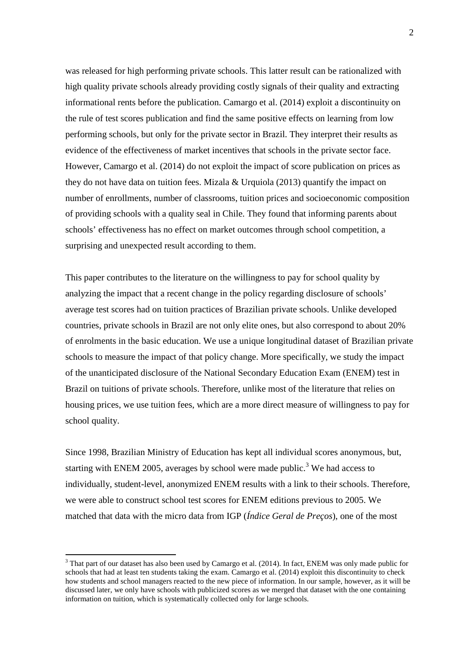was released for high performing private schools. This latter result can be rationalized with high quality private schools already providing costly signals of their quality and extracting informational rents before the publication. Camargo et al. (2014) exploit a discontinuity on the rule of test scores publication and find the same positive effects on learning from low performing schools, but only for the private sector in Brazil. They interpret their results as evidence of the effectiveness of market incentives that schools in the private sector face. However, Camargo et al. (2014) do not exploit the impact of score publication on prices as they do not have data on tuition fees. Mizala & Urquiola (2013) quantify the impact on number of enrollments, number of classrooms, tuition prices and socioeconomic composition of providing schools with a quality seal in Chile. They found that informing parents about schools' effectiveness has no effect on market outcomes through school competition, a surprising and unexpected result according to them.

This paper contributes to the literature on the willingness to pay for school quality by analyzing the impact that a recent change in the policy regarding disclosure of schools' average test scores had on tuition practices of Brazilian private schools. Unlike developed countries, private schools in Brazil are not only elite ones, but also correspond to about 20% of enrolments in the basic education. We use a unique longitudinal dataset of Brazilian private schools to measure the impact of that policy change. More specifically, we study the impact of the unanticipated disclosure of the National Secondary Education Exam (ENEM) test in Brazil on tuitions of private schools. Therefore, unlike most of the literature that relies on housing prices, we use tuition fees, which are a more direct measure of willingness to pay for school quality.

Since 1998, Brazilian Ministry of Education has kept all individual scores anonymous, but, starting with ENEM 2005, averages by school were made public.<sup>3</sup> We had access to individually, student-level, anonymized ENEM results with a link to their schools. Therefore, we were able to construct school test scores for ENEM editions previous to 2005. We matched that data with the micro data from IGP (*Índice Geral de Preços*), one of the most

 $\overline{a}$ 

 $3$  That part of our dataset has also been used by Camargo et al. (2014). In fact, ENEM was only made public for schools that had at least ten students taking the exam. Camargo et al. (2014) exploit this discontinuity to check how students and school managers reacted to the new piece of information. In our sample, however, as it will be discussed later, we only have schools with publicized scores as we merged that dataset with the one containing information on tuition, which is systematically collected only for large schools.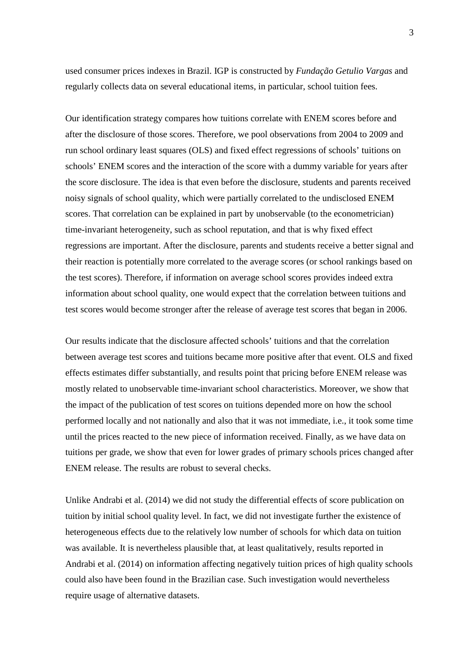3

used consumer prices indexes in Brazil. IGP is constructed by *Fundação Getulio Vargas* and regularly collects data on several educational items, in particular, school tuition fees.

Our identification strategy compares how tuitions correlate with ENEM scores before and after the disclosure of those scores. Therefore, we pool observations from 2004 to 2009 and run school ordinary least squares (OLS) and fixed effect regressions of schools' tuitions on schools' ENEM scores and the interaction of the score with a dummy variable for years after the score disclosure. The idea is that even before the disclosure, students and parents received noisy signals of school quality, which were partially correlated to the undisclosed ENEM scores. That correlation can be explained in part by unobservable (to the econometrician) time-invariant heterogeneity, such as school reputation, and that is why fixed effect regressions are important. After the disclosure, parents and students receive a better signal and their reaction is potentially more correlated to the average scores (or school rankings based on the test scores). Therefore, if information on average school scores provides indeed extra information about school quality, one would expect that the correlation between tuitions and test scores would become stronger after the release of average test scores that began in 2006.

Our results indicate that the disclosure affected schools' tuitions and that the correlation between average test scores and tuitions became more positive after that event. OLS and fixed effects estimates differ substantially, and results point that pricing before ENEM release was mostly related to unobservable time-invariant school characteristics. Moreover, we show that the impact of the publication of test scores on tuitions depended more on how the school performed locally and not nationally and also that it was not immediate, i.e., it took some time until the prices reacted to the new piece of information received. Finally, as we have data on tuitions per grade, we show that even for lower grades of primary schools prices changed after ENEM release. The results are robust to several checks.

Unlike Andrabi et al. (2014) we did not study the differential effects of score publication on tuition by initial school quality level. In fact, we did not investigate further the existence of heterogeneous effects due to the relatively low number of schools for which data on tuition was available. It is nevertheless plausible that, at least qualitatively, results reported in Andrabi et al. (2014) on information affecting negatively tuition prices of high quality schools could also have been found in the Brazilian case. Such investigation would nevertheless require usage of alternative datasets.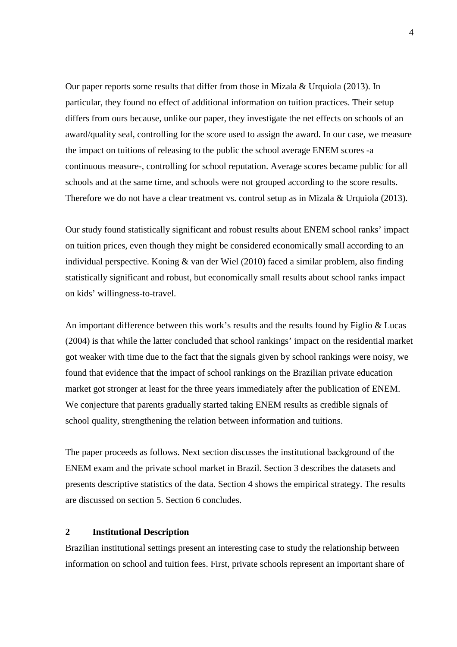Our paper reports some results that differ from those in Mizala & Urquiola (2013). In particular, they found no effect of additional information on tuition practices. Their setup differs from ours because, unlike our paper, they investigate the net effects on schools of an award/quality seal, controlling for the score used to assign the award. In our case, we measure the impact on tuitions of releasing to the public the school average ENEM scores -a continuous measure-, controlling for school reputation. Average scores became public for all schools and at the same time, and schools were not grouped according to the score results. Therefore we do not have a clear treatment vs. control setup as in Mizala & Urquiola (2013).

Our study found statistically significant and robust results about ENEM school ranks' impact on tuition prices, even though they might be considered economically small according to an individual perspective. Koning & van der Wiel (2010) faced a similar problem, also finding statistically significant and robust, but economically small results about school ranks impact on kids' willingness-to-travel.

An important difference between this work's results and the results found by Figlio  $&$  Lucas (2004) is that while the latter concluded that school rankings' impact on the residential market got weaker with time due to the fact that the signals given by school rankings were noisy, we found that evidence that the impact of school rankings on the Brazilian private education market got stronger at least for the three years immediately after the publication of ENEM. We conjecture that parents gradually started taking ENEM results as credible signals of school quality, strengthening the relation between information and tuitions.

The paper proceeds as follows. Next section discusses the institutional background of the ENEM exam and the private school market in Brazil. Section 3 describes the datasets and presents descriptive statistics of the data. Section 4 shows the empirical strategy. The results are discussed on section 5. Section 6 concludes.

#### **2 Institutional Description**

Brazilian institutional settings present an interesting case to study the relationship between information on school and tuition fees. First, private schools represent an important share of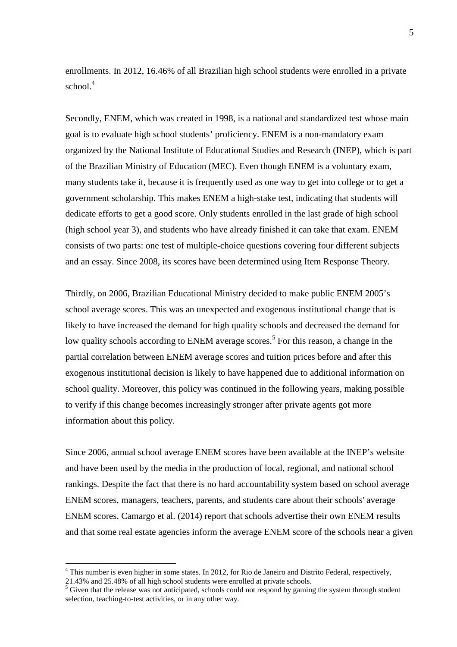enrollments. In 2012, 16.46% of all Brazilian high school students were enrolled in a private school.<sup>4</sup>

Secondly, ENEM, which was created in 1998, is a national and standardized test whose main goal is to evaluate high school students' proficiency. ENEM is a non-mandatory exam organized by the National Institute of Educational Studies and Research (INEP), which is part of the Brazilian Ministry of Education (MEC). Even though ENEM is a voluntary exam, many students take it, because it is frequently used as one way to get into college or to get a government scholarship. This makes ENEM a high-stake test, indicating that students will dedicate efforts to get a good score. Only students enrolled in the last grade of high school (high school year 3), and students who have already finished it can take that exam. ENEM consists of two parts: one test of multiple-choice questions covering four different subjects and an essay. Since 2008, its scores have been determined using Item Response Theory.

Thirdly, on 2006, Brazilian Educational Ministry decided to make public ENEM 2005's school average scores. This was an unexpected and exogenous institutional change that is likely to have increased the demand for high quality schools and decreased the demand for low quality schools according to ENEM average scores.<sup>5</sup> For this reason, a change in the partial correlation between ENEM average scores and tuition prices before and after this exogenous institutional decision is likely to have happened due to additional information on school quality. Moreover, this policy was continued in the following years, making possible to verify if this change becomes increasingly stronger after private agents got more information about this policy.

Since 2006, annual school average ENEM scores have been available at the INEP's website and have been used by the media in the production of local, regional, and national school rankings. Despite the fact that there is no hard accountability system based on school average ENEM scores, managers, teachers, parents, and students care about their schools' average ENEM scores. Camargo et al. (2014) report that schools advertise their own ENEM results and that some real estate agencies inform the average ENEM score of the schools near a given

 $\overline{a}$ 

<sup>&</sup>lt;sup>4</sup> This number is even higher in some states. In 2012, for Rio de Janeiro and Distrito Federal, respectively,

<sup>21.43%</sup> and 25.48% of all high school students were enrolled at private schools.

<sup>&</sup>lt;sup>5</sup> Given that the release was not anticipated, schools could not respond by gaming the system through student selection, teaching-to-test activities, or in any other way.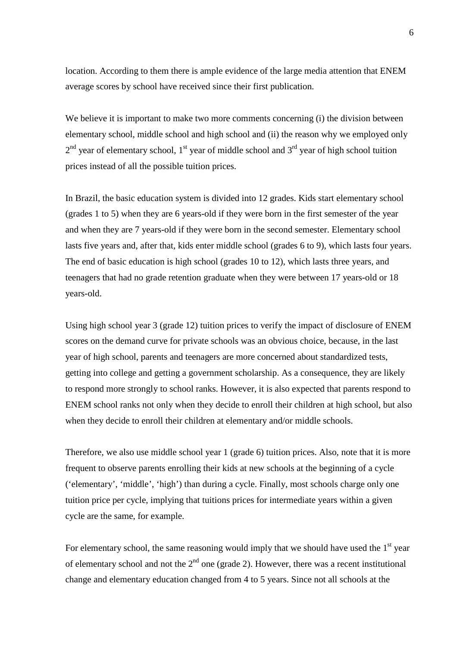location. According to them there is ample evidence of the large media attention that ENEM average scores by school have received since their first publication.

We believe it is important to make two more comments concerning (i) the division between elementary school, middle school and high school and (ii) the reason why we employed only  $2<sup>nd</sup>$  year of elementary school, 1<sup>st</sup> year of middle school and 3<sup>rd</sup> year of high school tuition prices instead of all the possible tuition prices.

In Brazil, the basic education system is divided into 12 grades. Kids start elementary school (grades 1 to 5) when they are 6 years-old if they were born in the first semester of the year and when they are 7 years-old if they were born in the second semester. Elementary school lasts five years and, after that, kids enter middle school (grades 6 to 9), which lasts four years. The end of basic education is high school (grades 10 to 12), which lasts three years, and teenagers that had no grade retention graduate when they were between 17 years-old or 18 years-old.

Using high school year 3 (grade 12) tuition prices to verify the impact of disclosure of ENEM scores on the demand curve for private schools was an obvious choice, because, in the last year of high school, parents and teenagers are more concerned about standardized tests, getting into college and getting a government scholarship. As a consequence, they are likely to respond more strongly to school ranks. However, it is also expected that parents respond to ENEM school ranks not only when they decide to enroll their children at high school, but also when they decide to enroll their children at elementary and/or middle schools.

Therefore, we also use middle school year 1 (grade 6) tuition prices. Also, note that it is more frequent to observe parents enrolling their kids at new schools at the beginning of a cycle ('elementary', 'middle', 'high') than during a cycle. Finally, most schools charge only one tuition price per cycle, implying that tuitions prices for intermediate years within a given cycle are the same, for example.

For elementary school, the same reasoning would imply that we should have used the  $1<sup>st</sup>$  year of elementary school and not the  $2<sup>nd</sup>$  one (grade 2). However, there was a recent institutional change and elementary education changed from 4 to 5 years. Since not all schools at the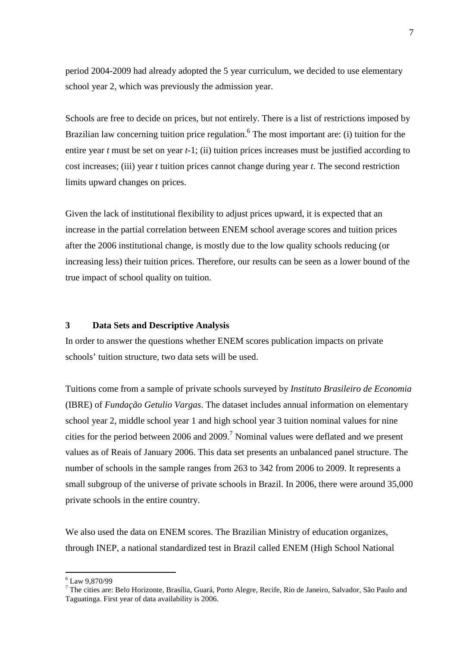period 2004-2009 had already adopted the 5 year curriculum, we decided to use elementary school year 2, which was previously the admission year.

Schools are free to decide on prices, but not entirely. There is a list of restrictions imposed by Brazilian law concerning tuition price regulation.<sup>6</sup> The most important are: (i) tuition for the entire year *t* must be set on year *t-*1; (ii) tuition prices increases must be justified according to cost increases; (iii) year *t* tuition prices cannot change during year *t*. The second restriction limits upward changes on prices.

Given the lack of institutional flexibility to adjust prices upward, it is expected that an increase in the partial correlation between ENEM school average scores and tuition prices after the 2006 institutional change, is mostly due to the low quality schools reducing (or increasing less) their tuition prices. Therefore, our results can be seen as a lower bound of the true impact of school quality on tuition.

#### **3 Data Sets and Descriptive Analysis**

In order to answer the questions whether ENEM scores publication impacts on private schools' tuition structure, two data sets will be used.

Tuitions come from a sample of private schools surveyed by *Instituto Brasileiro de Economia* (IBRE) of *Fundação Getulio Vargas*. The dataset includes annual information on elementary school year 2, middle school year 1 and high school year 3 tuition nominal values for nine cities for the period between 2006 and 2009.<sup>7</sup> Nominal values were deflated and we present values as of Reais of January 2006. This data set presents an unbalanced panel structure. The number of schools in the sample ranges from 263 to 342 from 2006 to 2009. It represents a small subgroup of the universe of private schools in Brazil. In 2006, there were around 35,000 private schools in the entire country.

We also used the data on ENEM scores. The Brazilian Ministry of education organizes, through INEP, a national standardized test in Brazil called ENEM (High School National

 $\overline{a}$ 6 Law 9,870/99

<sup>&</sup>lt;sup>7</sup> The cities are: Belo Horizonte, Brasília, Guará, Porto Alegre, Recife, Rio de Janeiro, Salvador, São Paulo and Taguatinga. First year of data availability is 2006.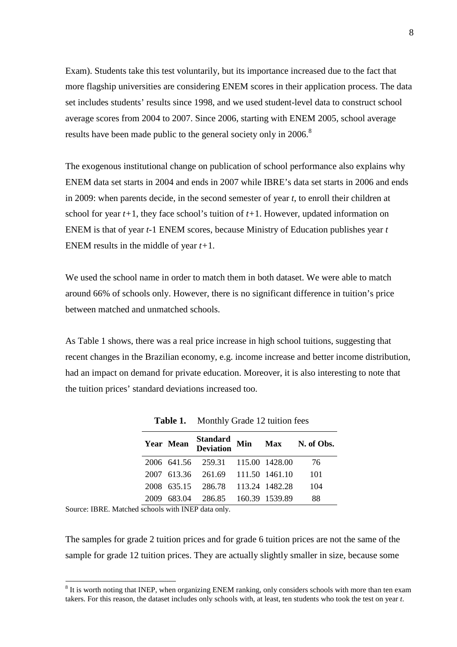Exam). Students take this test voluntarily, but its importance increased due to the fact that more flagship universities are considering ENEM scores in their application process. The data set includes students' results since 1998, and we used student-level data to construct school average scores from 2004 to 2007. Since 2006, starting with ENEM 2005, school average results have been made public to the general society only in 2006.<sup>8</sup>

The exogenous institutional change on publication of school performance also explains why ENEM data set starts in 2004 and ends in 2007 while IBRE's data set starts in 2006 and ends in 2009: when parents decide, in the second semester of year *t*, to enroll their children at school for year  $t+1$ , they face school's tuition of  $t+1$ . However, updated information on ENEM is that of year *t-*1 ENEM scores, because Ministry of Education publishes year *t*  ENEM results in the middle of year *t+*1.

We used the school name in order to match them in both dataset. We were able to match around 66% of schools only. However, there is no significant difference in tuition's price between matched and unmatched schools.

As Table 1 shows, there was a real price increase in high school tuitions, suggesting that recent changes in the Brazilian economy, e.g. income increase and better income distribution, had an impact on demand for private education. Moreover, it is also interesting to note that the tuition prices' standard deviations increased too.

| Year Mean |                                   |  | Standard Min Max N. of Obs.<br>Deviation Min Max N. of Obs. |
|-----------|-----------------------------------|--|-------------------------------------------------------------|
|           | 2006 641.56 259.31 115.00 1428.00 |  | 76                                                          |
|           | 2007 613.36 261.69 111.50 1461.10 |  | -101                                                        |
|           | 2008 635.15 286.78 113.24 1482.28 |  | 104                                                         |
|           | 2009 683.04 286.85 160.39 1539.89 |  | 88                                                          |

Table 1. Monthly Grade 12 tuition fees

Source: IBRE. Matched schools with INEP data only.

 $\overline{a}$ 

The samples for grade 2 tuition prices and for grade 6 tuition prices are not the same of the sample for grade 12 tuition prices. They are actually slightly smaller in size, because some

<sup>&</sup>lt;sup>8</sup> It is worth noting that INEP, when organizing ENEM ranking, only considers schools with more than ten exam takers. For this reason, the dataset includes only schools with, at least, ten students who took the test on year *t*.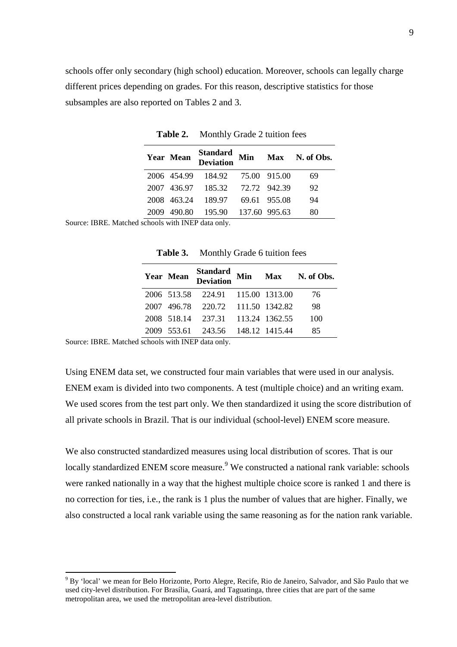schools offer only secondary (high school) education. Moreover, schools can legally charge different prices depending on grades. For this reason, descriptive statistics for those subsamples are also reported on Tables 2 and 3.

|                           | Year Mean   | <b>Standard</b><br><b>Deviation</b> |              | Min Max N. of Obs. |
|---------------------------|-------------|-------------------------------------|--------------|--------------------|
|                           | 2006 454.99 | 184.92 75.00 915.00                 |              | 69                 |
|                           | 2007 436.97 | 185.32 72.72 942.39                 |              | 92                 |
|                           |             | 2008 463.24 189.97                  | 69.61 955.08 | 94                 |
| 2009                      | 490.80      | 195.90 137.60 995.63                |              | 80                 |
| $\mathbf{1}$ $\mathbf{1}$ |             | $\cdots$ mind $\cdots$              |              |                    |

**Table 2.** Monthly Grade 2 tuition fees

Source: IBRE. Matched schools with INEP data only.

| Year Mean |                                   |  | Standard Min Max N. of Obs.<br>Deviation |
|-----------|-----------------------------------|--|------------------------------------------|
|           | 2006 513.58 224.91 115.00 1313.00 |  | -76                                      |
|           | 2007 496.78 220.72 111.50 1342.82 |  | 98                                       |
|           | 2008 518.14 237.31 113.24 1362.55 |  | 100                                      |
|           | 2009 553.61 243.56 148.12 1415.44 |  | 85                                       |

**Table 3.** Monthly Grade 6 tuition fees

Source: IBRE. Matched schools with INEP data only.

 $\overline{a}$ 

Using ENEM data set, we constructed four main variables that were used in our analysis. ENEM exam is divided into two components. A test (multiple choice) and an writing exam. We used scores from the test part only. We then standardized it using the score distribution of all private schools in Brazil. That is our individual (school-level) ENEM score measure.

We also constructed standardized measures using local distribution of scores. That is our locally standardized ENEM score measure.<sup>9</sup> We constructed a national rank variable: schools were ranked nationally in a way that the highest multiple choice score is ranked 1 and there is no correction for ties, i.e., the rank is 1 plus the number of values that are higher. Finally, we also constructed a local rank variable using the same reasoning as for the nation rank variable.

<sup>&</sup>lt;sup>9</sup> By 'local' we mean for Belo Horizonte, Porto Alegre, Recife, Rio de Janeiro, Salvador, and São Paulo that we used city-level distribution. For Brasília, Guará, and Taguatinga, three cities that are part of the same metropolitan area, we used the metropolitan area-level distribution.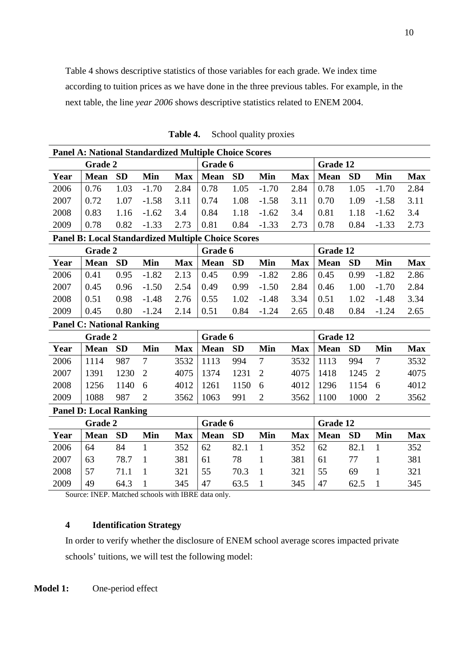Table 4 shows descriptive statistics of those variables for each grade. We index time according to tuition prices as we have done in the three previous tables. For example, in the next table, the line *year 2006* shows descriptive statistics related to ENEM 2004.

| <b>Panel A: National Standardized Multiple Choice Scores</b> |                                                           |           |                |            |             |           |                |            |             |           |                |            |
|--------------------------------------------------------------|-----------------------------------------------------------|-----------|----------------|------------|-------------|-----------|----------------|------------|-------------|-----------|----------------|------------|
|                                                              | <b>Grade 2</b>                                            |           |                |            | Grade 6     |           |                |            | Grade 12    |           |                |            |
| Year                                                         | <b>Mean</b>                                               | <b>SD</b> | Min            | <b>Max</b> | <b>Mean</b> | <b>SD</b> | Min            | <b>Max</b> | <b>Mean</b> | <b>SD</b> | Min            | <b>Max</b> |
| 2006                                                         | 0.76                                                      | 1.03      | $-1.70$        | 2.84       | 0.78        | 1.05      | $-1.70$        | 2.84       | 0.78        | 1.05      | $-1.70$        | 2.84       |
| 2007                                                         | 0.72                                                      | 1.07      | $-1.58$        | 3.11       | 0.74        | 1.08      | $-1.58$        | 3.11       | 0.70        | 1.09      | $-1.58$        | 3.11       |
| 2008                                                         | 0.83                                                      | 1.16      | $-1.62$        | 3.4        | 0.84        | 1.18      | $-1.62$        | 3.4        | 0.81        | 1.18      | $-1.62$        | 3.4        |
| 2009                                                         | 0.78                                                      | 0.82      | $-1.33$        | 2.73       | 0.81        | 0.84      | $-1.33$        | 2.73       | 0.78        | 0.84      | $-1.33$        | 2.73       |
|                                                              | <b>Panel B: Local Standardized Multiple Choice Scores</b> |           |                |            |             |           |                |            |             |           |                |            |
|                                                              | <b>Grade 2</b>                                            |           |                |            | Grade 6     |           |                |            | Grade 12    |           |                |            |
| Year                                                         | <b>Mean</b>                                               | <b>SD</b> | Min            | <b>Max</b> | <b>Mean</b> | <b>SD</b> | Min            | <b>Max</b> | <b>Mean</b> | <b>SD</b> | Min            | <b>Max</b> |
| 2006                                                         | 0.41                                                      | 0.95      | $-1.82$        | 2.13       | 0.45        | 0.99      | $-1.82$        | 2.86       | 0.45        | 0.99      | $-1.82$        | 2.86       |
| 2007                                                         | 0.45                                                      | 0.96      | $-1.50$        | 2.54       | 0.49        | 0.99      | $-1.50$        | 2.84       | 0.46        | 1.00      | $-1.70$        | 2.84       |
| 2008                                                         | 0.51                                                      | 0.98      | $-1.48$        | 2.76       | 0.55        | 1.02      | $-1.48$        | 3.34       | 0.51        | 1.02      | $-1.48$        | 3.34       |
| 2009                                                         | 0.45                                                      | 0.80      | $-1.24$        | 2.14       | 0.51        | 0.84      | $-1.24$        | 2.65       | 0.48        | 0.84      | $-1.24$        | 2.65       |
|                                                              | <b>Panel C: National Ranking</b>                          |           |                |            |             |           |                |            |             |           |                |            |
|                                                              | Grade 2                                                   |           |                |            | Grade 6     |           |                | Grade 12   |             |           |                |            |
| Year                                                         | <b>Mean</b>                                               | <b>SD</b> | Min            | <b>Max</b> | <b>Mean</b> | <b>SD</b> | Min            | <b>Max</b> | <b>Mean</b> | <b>SD</b> | Min            | <b>Max</b> |
| 2006                                                         | 1114                                                      | 987       | $\overline{7}$ | 3532       | 1113        | 994       | $\overline{7}$ | 3532       | 1113        | 994       | $\overline{7}$ | 3532       |
| 2007                                                         | 1391                                                      | 1230      | $\overline{2}$ | 4075       | 1374        | 1231      | $\overline{2}$ | 4075       | 1418        | 1245      | $\overline{2}$ | 4075       |
| 2008                                                         | 1256                                                      | 1140      | 6              | 4012       | 1261        | 1150      | 6              | 4012       | 1296        | 1154      | 6              | 4012       |
| 2009                                                         | 1088                                                      | 987       | $\overline{2}$ | 3562       | 1063        | 991       | $\overline{2}$ | 3562       | 1100        | 1000      | $\overline{2}$ | 3562       |
|                                                              | <b>Panel D: Local Ranking</b>                             |           |                |            |             |           |                |            |             |           |                |            |
|                                                              | <b>Grade 2</b>                                            |           |                |            | Grade 6     |           |                |            | Grade 12    |           |                |            |
| Year                                                         | <b>Mean</b>                                               | <b>SD</b> | Min            | <b>Max</b> | <b>Mean</b> | <b>SD</b> | <b>Min</b>     | <b>Max</b> | <b>Mean</b> | <b>SD</b> | Min            | <b>Max</b> |
| 2006                                                         | 64                                                        | 84        | $\mathbf{1}$   | 352        | 62          | 82.1      | $\mathbf{1}$   | 352        | 62          | 82.1      | $\mathbf{1}$   | 352        |
| 2007                                                         | 63                                                        | 78.7      | $\mathbf{1}$   | 381        | 61          | 78        | $\mathbf{1}$   | 381        | 61          | 77        | $\mathbf{1}$   | 381        |
| 2008                                                         | 57                                                        | 71.1      | $\mathbf{1}$   | 321        | 55          | 70.3      | $\mathbf{1}$   | 321        | 55          | 69        | $\mathbf{1}$   | 321        |
| 2009                                                         | 49                                                        | 64.3      | 1              | 345        | 47          | 63.5      | $\mathbf{1}$   | 345        | 47          | 62.5      | $\mathbf{1}$   | 345        |

**Table 4.** School quality proxies

Source: INEP. Matched schools with IBRE data only.

#### **4 Identification Strategy**

In order to verify whether the disclosure of ENEM school average scores impacted private schools' tuitions, we will test the following model: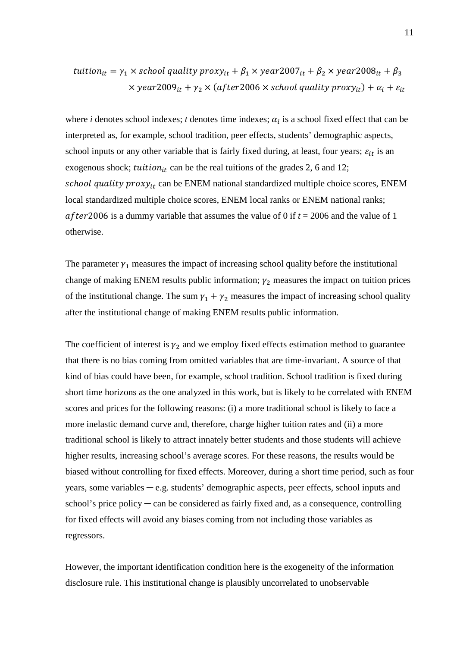$$
tution_{it} = \gamma_1 \times school quality proxy_{it} + \beta_1 \times year2007_{it} + \beta_2 \times year2008_{it} + \beta_3
$$

$$
\times year2009_{it} + \gamma_2 \times (after2006 \times school quality proxy_{it}) + \alpha_i + \varepsilon_{it}
$$

where *i* denotes school indexes; *t* denotes time indexes;  $\alpha_i$  is a school fixed effect that can be interpreted as, for example, school tradition, peer effects, students' demographic aspects, school inputs or any other variable that is fairly fixed during, at least, four years;  $\varepsilon_{it}$  is an exogenous shock;  $tution_{it}$  can be the real tuitions of the grades 2, 6 and 12; school quality  $prox y_{it}$  can be ENEM national standardized multiple choice scores, ENEM local standardized multiple choice scores, ENEM local ranks or ENEM national ranks; after 2006 is a dummy variable that assumes the value of 0 if  $t = 2006$  and the value of 1 otherwise.

The parameter  $\gamma_1$  measures the impact of increasing school quality before the institutional change of making ENEM results public information;  $\gamma_2$  measures the impact on tuition prices of the institutional change. The sum  $\gamma_1 + \gamma_2$  measures the impact of increasing school quality after the institutional change of making ENEM results public information.

The coefficient of interest is  $\gamma_2$  and we employ fixed effects estimation method to guarantee that there is no bias coming from omitted variables that are time-invariant. A source of that kind of bias could have been, for example, school tradition. School tradition is fixed during short time horizons as the one analyzed in this work, but is likely to be correlated with ENEM scores and prices for the following reasons: (i) a more traditional school is likely to face a more inelastic demand curve and, therefore, charge higher tuition rates and (ii) a more traditional school is likely to attract innately better students and those students will achieve higher results, increasing school's average scores. For these reasons, the results would be biased without controlling for fixed effects. Moreover, during a short time period, such as four years, some variables  $-e.g.$  students' demographic aspects, peer effects, school inputs and school's price policy  $-\text{can}$  be considered as fairly fixed and, as a consequence, controlling for fixed effects will avoid any biases coming from not including those variables as regressors.

However, the important identification condition here is the exogeneity of the information disclosure rule. This institutional change is plausibly uncorrelated to unobservable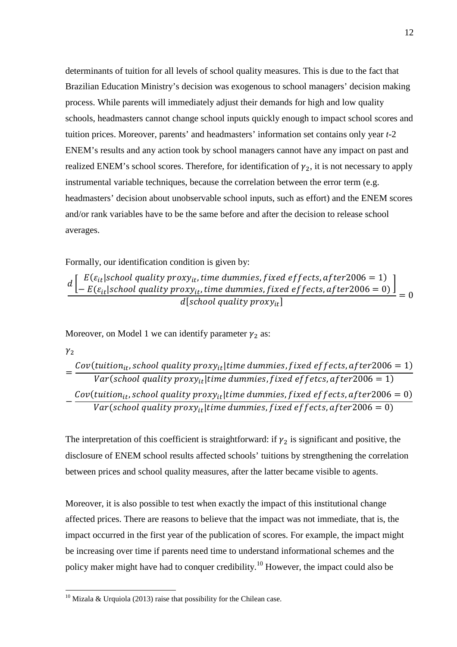determinants of tuition for all levels of school quality measures. This is due to the fact that Brazilian Education Ministry's decision was exogenous to school managers' decision making process. While parents will immediately adjust their demands for high and low quality schools, headmasters cannot change school inputs quickly enough to impact school scores and tuition prices. Moreover, parents' and headmasters' information set contains only year *t-*2 ENEM's results and any action took by school managers cannot have any impact on past and realized ENEM's school scores. Therefore, for identification of  $\gamma_2$ , it is not necessary to apply instrumental variable techniques, because the correlation between the error term (e.g. headmasters' decision about unobservable school inputs, such as effort) and the ENEM scores and/or rank variables have to be the same before and after the decision to release school averages.

Formally, our identification condition is given by:

 $d\left[ \begin{array}{l} E(\varepsilon_{it} | school\ quality\ proxy_{it}, time\ dummy\ using\ f fixed\ effects, after 2006 = 1)\ -E(\varepsilon, | school\ quality\ proxy, - time\ dummy\ is\ fixed\ offects\ after 2006 = 0)\ \end{array} \right]$  $- E(\varepsilon_{it} |$  school quality proxy<sub>it</sub>, time dummies, fixed effects, after 2006 = 0)  $d[school quality proxy_{it}]$ <br>= 0

Moreover, on Model 1 we can identify parameter  $\gamma_2$  as:

 $\gamma_2$ 

 $\overline{a}$ 

= Cov(tuition<sub>it</sub>, school quality proxy<sub>it</sub>|time dummies, fixed effects, after2006 = 1) Var(school quality proxy $_{it}|$ time dummies, fixed effetcs, after $2006=1)$ − Cov(tuition<sub>it</sub>, school quality proxy<sub>it</sub>|time dummies, fixed effects, after2006 = 0) Var(school quality proxy $_{it}|$ time dummies, fixed effects, after $2006=0)$ 

The interpretation of this coefficient is straightforward: if  $\gamma_2$  is significant and positive, the disclosure of ENEM school results affected schools' tuitions by strengthening the correlation between prices and school quality measures, after the latter became visible to agents.

Moreover, it is also possible to test when exactly the impact of this institutional change affected prices. There are reasons to believe that the impact was not immediate, that is, the impact occurred in the first year of the publication of scores. For example, the impact might be increasing over time if parents need time to understand informational schemes and the policy maker might have had to conquer credibility.<sup>10</sup> However, the impact could also be

<sup>&</sup>lt;sup>10</sup> Mizala & Urquiola (2013) raise that possibility for the Chilean case.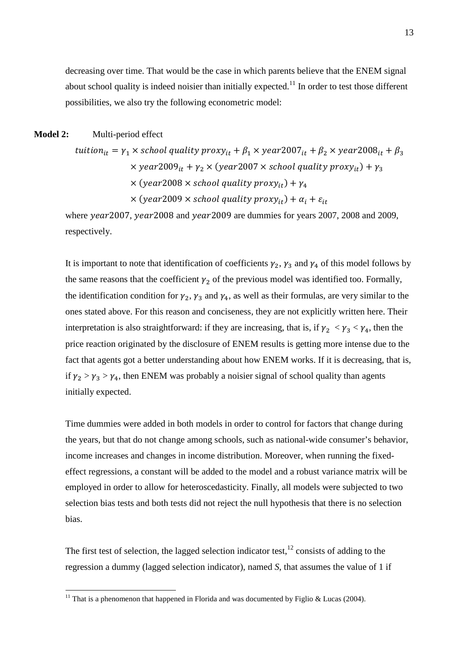decreasing over time. That would be the case in which parents believe that the ENEM signal about school quality is indeed noisier than initially expected.<sup>11</sup> In order to test those different possibilities, we also try the following econometric model:

#### **Model 2:** Multi-period effect

 $\overline{a}$ 

tuitio $n_{it} = \gamma_1 \times$  school quality prox $y_{it} + \beta_1 \times$  year $2007_{it} + \beta_2 \times$  year $2008_{it} + \beta_3$  $\times$  year2009 $_{it}$  +  $\gamma_2$   $\times$  (year2007  $\times$  school quality proxy $_{it}$ ) +  $\gamma_3$  $\times$  (year2008  $\times$  school quality proxy $_{it}$ ) +  $\gamma_4$  $\times$  (year2009  $\times$  school quality proxy<sub>it</sub>) +  $\alpha_i$  +  $\varepsilon_{it}$ 

where year 2007, year 2008 and year 2009 are dummies for years 2007, 2008 and 2009, respectively.

It is important to note that identification of coefficients  $\gamma_2$ ,  $\gamma_3$  and  $\gamma_4$  of this model follows by the same reasons that the coefficient  $\gamma_2$  of the previous model was identified too. Formally, the identification condition for  $\gamma_2$ ,  $\gamma_3$  and  $\gamma_4$ , as well as their formulas, are very similar to the ones stated above. For this reason and conciseness, they are not explicitly written here. Their interpretation is also straightforward: if they are increasing, that is, if  $\gamma_2 < \gamma_3 < \gamma_4$ , then the price reaction originated by the disclosure of ENEM results is getting more intense due to the fact that agents got a better understanding about how ENEM works. If it is decreasing, that is, if  $\gamma_2 > \gamma_3 > \gamma_4$ , then ENEM was probably a noisier signal of school quality than agents initially expected.

Time dummies were added in both models in order to control for factors that change during the years, but that do not change among schools, such as national-wide consumer's behavior, income increases and changes in income distribution. Moreover, when running the fixedeffect regressions, a constant will be added to the model and a robust variance matrix will be employed in order to allow for heteroscedasticity. Finally, all models were subjected to two selection bias tests and both tests did not reject the null hypothesis that there is no selection bias.

The first test of selection, the lagged selection indicator test,  $^{12}$  consists of adding to the regression a dummy (lagged selection indicator), named *S*, that assumes the value of 1 if

<sup>&</sup>lt;sup>11</sup> That is a phenomenon that happened in Florida and was documented by Figlio & Lucas (2004).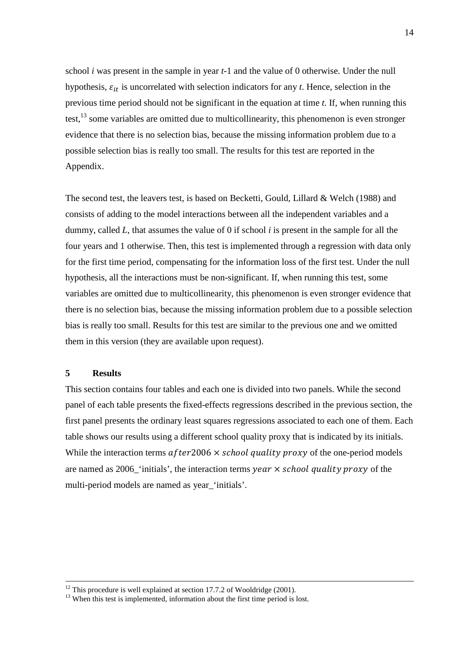school *i* was present in the sample in year *t-*1 and the value of 0 otherwise. Under the null hypothesis,  $\varepsilon_{it}$  is uncorrelated with selection indicators for any *t*. Hence, selection in the previous time period should not be significant in the equation at time *t*. If, when running this test,  $^{13}$  some variables are omitted due to multicollinearity, this phenomenon is even stronger evidence that there is no selection bias, because the missing information problem due to a possible selection bias is really too small. The results for this test are reported in the Appendix.

The second test, the leavers test, is based on Becketti, Gould, Lillard & Welch (1988) and consists of adding to the model interactions between all the independent variables and a dummy, called *L*, that assumes the value of 0 if school *i* is present in the sample for all the four years and 1 otherwise. Then, this test is implemented through a regression with data only for the first time period, compensating for the information loss of the first test. Under the null hypothesis, all the interactions must be non-significant. If, when running this test, some variables are omitted due to multicollinearity, this phenomenon is even stronger evidence that there is no selection bias, because the missing information problem due to a possible selection bias is really too small. Results for this test are similar to the previous one and we omitted them in this version (they are available upon request).

#### **5 Results**

<u>.</u>

This section contains four tables and each one is divided into two panels. While the second panel of each table presents the fixed-effects regressions described in the previous section, the first panel presents the ordinary least squares regressions associated to each one of them. Each table shows our results using a different school quality proxy that is indicated by its initials. While the interaction terms  $after2006 \times school quality proxy$  of the one-period models are named as  $2006$ -'initials', the interaction terms year  $\times$  school quality proxy of the multi-period models are named as year 'initials'.

 $12$  This procedure is well explained at section 17.7.2 of Wooldridge (2001).

 $\frac{13}{13}$  When this test is implemented, information about the first time period is lost.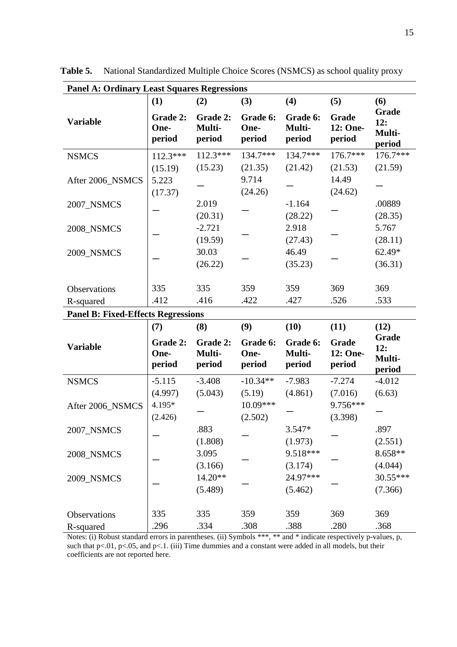| <b>Panel A: Ordinary Least Squares Regressions</b> |                            |                              |                            |                              |                             |                                  |  |  |  |
|----------------------------------------------------|----------------------------|------------------------------|----------------------------|------------------------------|-----------------------------|----------------------------------|--|--|--|
|                                                    | (1)                        | (2)                          | (3)                        | (4)                          | (5)                         | (6)                              |  |  |  |
| <b>Variable</b>                                    | Grade 2:<br>One-<br>period | Grade 2:<br>Multi-<br>period | Grade 6:<br>One-<br>period | Grade 6:<br>Multi-<br>period | Grade<br>12: One-<br>period | Grade<br>12:<br>Multi-<br>period |  |  |  |
| <b>NSMCS</b>                                       | $112.3***$                 | $112.3***$                   | 134.7***                   | 134.7***                     | $176.7***$                  | 176.7***                         |  |  |  |
|                                                    | (15.19)                    | (15.23)                      | (21.35)                    | (21.42)                      | (21.53)                     | (21.59)                          |  |  |  |
| After 2006_NSMCS                                   | 5.223                      |                              | 9.714                      |                              | 14.49                       |                                  |  |  |  |
|                                                    | (17.37)                    |                              | (24.26)                    |                              | (24.62)                     |                                  |  |  |  |
| 2007_NSMCS                                         |                            | 2.019                        |                            | $-1.164$                     |                             | .00889                           |  |  |  |
|                                                    |                            | (20.31)                      |                            | (28.22)                      |                             | (28.35)                          |  |  |  |
| 2008_NSMCS                                         |                            | $-2.721$                     |                            | 2.918                        |                             | 5.767                            |  |  |  |
|                                                    |                            | (19.59)                      |                            | (27.43)                      |                             | (28.11)                          |  |  |  |
| 2009_NSMCS                                         |                            | 30.03                        |                            | 46.49                        |                             | 62.49*                           |  |  |  |
|                                                    |                            | (26.22)                      |                            | (35.23)                      |                             | (36.31)                          |  |  |  |
|                                                    |                            |                              |                            |                              |                             |                                  |  |  |  |
| Observations                                       | 335                        | 335                          | 359                        | 359                          | 369                         | 369                              |  |  |  |
| R-squared                                          | .412                       | .416                         | .422                       | .427                         | .526                        | .533                             |  |  |  |
| <b>Panel B: Fixed-Effects Regressions</b>          |                            |                              |                            |                              |                             |                                  |  |  |  |
|                                                    | (7)                        | (8)                          | (9)                        | (10)                         | (11)                        | (12)                             |  |  |  |
| <b>Variable</b>                                    | Grade 2:<br>One-<br>period | Grade 2:<br>Multi-<br>period | Grade 6:<br>One-<br>period | Grade 6:<br>Multi-<br>period | Grade<br>12: One-<br>period | Grade<br>12:<br>Multi-<br>period |  |  |  |
| <b>NSMCS</b>                                       | $-5.115$                   | $-3.408$                     | $-10.34**$                 | $-7.983$                     | $-7.274$                    | $-4.012$                         |  |  |  |
|                                                    | (4.997)                    | (5.043)                      | (5.19)                     | (4.861)                      | (7.016)                     | (6.63)                           |  |  |  |
| After 2006 NSMCS                                   | 4.195*                     |                              | 10.09***                   |                              | 9.756***                    |                                  |  |  |  |
|                                                    | (2.426)                    |                              | (2.502)                    |                              | (3.398)                     |                                  |  |  |  |
| 2007_NSMCS                                         |                            | .883                         |                            | 3.547*                       |                             | .897                             |  |  |  |
|                                                    |                            | (1.808)                      |                            | (1.973)                      |                             | (2.551)                          |  |  |  |
| 2008_NSMCS                                         |                            | 3.095                        |                            | 9.518***                     |                             | 8.658**                          |  |  |  |
|                                                    |                            | (3.166)                      |                            | (3.174)                      |                             | (4.044)                          |  |  |  |
| 2009_NSMCS                                         |                            | 14.20**                      |                            | 24.97***                     |                             | 30.55***                         |  |  |  |
|                                                    |                            | (5.489)                      |                            | (5.462)                      |                             | (7.366)                          |  |  |  |
|                                                    |                            |                              |                            |                              |                             |                                  |  |  |  |
| Observations                                       | 335                        | 335                          | 359                        | 359                          | 369                         | 369                              |  |  |  |
| R-squared                                          | .296                       | .334                         | .308                       | .388                         | .280                        | .368                             |  |  |  |

**Table 5.** National Standardized Multiple Choice Scores (NSMCS) as school quality proxy

Notes: (i) Robust standard errors in parentheses. (ii) Symbols \*\*\*, \*\* and \* indicate respectively p-values, p, such that  $p<.01$ ,  $p<.05$ , and  $p<.1$ . (iii) Time dummies and a constant were added in all models, but their coefficients are not reported here.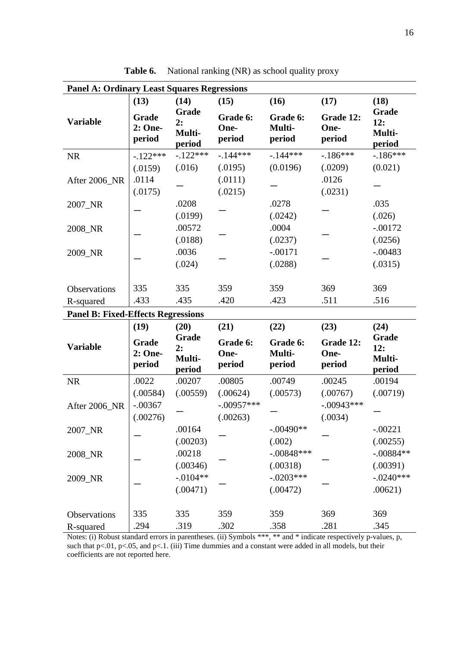| <b>Panel A: Ordinary Least Squares Regressions</b> |                            |                                 |                            |                              |                             |                                  |  |
|----------------------------------------------------|----------------------------|---------------------------------|----------------------------|------------------------------|-----------------------------|----------------------------------|--|
|                                                    | (13)                       | (14)                            | (15)                       | (16)                         | (17)                        | (18)                             |  |
| <b>Variable</b>                                    | Grade<br>2: One-<br>period | Grade<br>2:<br>Multi-<br>period | Grade 6:<br>One-<br>period | Grade 6:<br>Multi-<br>period | Grade 12:<br>One-<br>period | Grade<br>12:<br>Multi-<br>period |  |
| <b>NR</b>                                          | $-.122***$                 | $-.122***$                      | $-144***$                  | $-144***$                    | $-186***$                   | $-186***$                        |  |
|                                                    | (.0159)                    | (.016)                          | (.0195)                    | (0.0196)                     | (.0209)                     | (0.021)                          |  |
| After 2006_NR                                      | .0114                      |                                 | (.0111)                    |                              | .0126                       |                                  |  |
|                                                    | (.0175)                    |                                 | (.0215)                    |                              | (.0231)                     |                                  |  |
| 2007_NR                                            |                            | .0208                           |                            | .0278                        |                             | .035                             |  |
|                                                    |                            | (.0199)                         |                            | (.0242)                      |                             | (.026)                           |  |
| 2008_NR                                            |                            | .00572                          |                            | .0004                        |                             | $-.00172$                        |  |
|                                                    |                            | (.0188)                         |                            | (.0237)                      |                             | (.0256)                          |  |
| 2009_NR                                            |                            | .0036                           |                            | $-.00171$                    |                             | $-.00483$                        |  |
|                                                    |                            | (.024)                          |                            | (.0288)                      |                             | (.0315)                          |  |
|                                                    |                            |                                 |                            |                              |                             |                                  |  |
| <b>Observations</b>                                | 335                        | 335                             | 359                        | 359                          | 369                         | 369                              |  |
| R-squared                                          | .433                       | .435                            | .420                       | .423                         | .511                        | .516                             |  |
| <b>Panel B: Fixed-Effects Regressions</b>          |                            |                                 |                            |                              |                             |                                  |  |
|                                                    | (19)                       | (20)                            | (21)                       | (22)                         | (23)                        | (24)                             |  |
| <b>Variable</b>                                    | Grade<br>2: One-<br>period | Grade<br>2:<br>Multi-<br>period | Grade 6:<br>One-<br>period | Grade 6:<br>Multi-<br>period | Grade 12:<br>One-<br>period | Grade<br>12:<br>Multi-<br>period |  |
| NR                                                 | .0022                      | .00207                          | .00805                     | .00749                       | .00245                      | .00194                           |  |
|                                                    | (.00584)                   | (.00559)                        | (.00624)                   | (.00573)                     | (.00767)                    | (.00719)                         |  |
| After 2006 NR                                      | $-.00367$                  |                                 | $-.00957***$               |                              | $-.00943***$                |                                  |  |
|                                                    | (.00276)                   |                                 | (.00263)                   |                              | (.0034)                     |                                  |  |
| 2007_NR                                            |                            | .00164                          |                            | $-.00490**$                  |                             | $-.00221$                        |  |
|                                                    |                            | (.00203)                        |                            | (.002)                       |                             | (.00255)                         |  |
| 2008_NR                                            |                            | .00218                          |                            | $-.00848***$                 |                             | $-.00884**$                      |  |
|                                                    |                            | (.00346)                        |                            | (.00318)                     |                             | (.00391)                         |  |
| 2009_NR                                            |                            | $-.0104**$                      |                            | $-.0203***$                  |                             | $-.0240***$                      |  |
|                                                    |                            | (.00471)                        |                            | (.00472)                     |                             | .00621)                          |  |
|                                                    |                            |                                 |                            |                              |                             |                                  |  |
| Observations                                       | 335                        | 335                             | 359                        | 359                          | 369                         | 369                              |  |
| R-squared                                          | .294                       | .319                            | .302                       | .358                         | .281                        | .345                             |  |

Table 6. National ranking (NR) as school quality proxy

Notes: (i) Robust standard errors in parentheses. (ii) Symbols \*\*\*, \*\* and \* indicate respectively p-values, p, such that p<.01, p<.05, and p<.1. (iii) Time dummies and a constant were added in all models, but their coefficients are not reported here.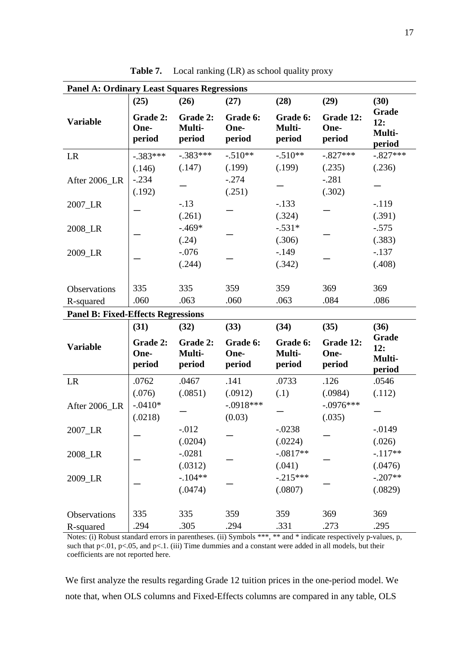| <b>Panel A: Ordinary Least Squares Regressions</b> |                            |                              |                            |                              |                             |                                  |  |  |
|----------------------------------------------------|----------------------------|------------------------------|----------------------------|------------------------------|-----------------------------|----------------------------------|--|--|
|                                                    | (25)                       | (26)                         | (27)                       | (28)                         | (29)                        | (30)                             |  |  |
| <b>Variable</b>                                    | Grade 2:<br>One-<br>period | Grade 2:<br>Multi-<br>period | Grade 6:<br>One-<br>period | Grade 6:<br>Multi-<br>period | Grade 12:<br>One-<br>period | Grade<br>12:<br>Multi-<br>period |  |  |
| LR                                                 | $-.383***$                 | $-.383***$                   | $-.510**$                  | $-.510**$                    | $-.827***$                  | $-.827***$                       |  |  |
|                                                    | (.146)                     | (.147)                       | (.199)                     | (.199)                       | (.235)                      | (.236)                           |  |  |
| After 2006_LR                                      | $-.234$                    |                              | $-.274$                    |                              | $-.281$                     |                                  |  |  |
|                                                    | (.192)                     |                              | (.251)                     |                              | (.302)                      |                                  |  |  |
| 2007_LR                                            |                            | $-.13$                       |                            | $-.133$                      |                             | $-119$                           |  |  |
|                                                    |                            | (.261)                       |                            | (.324)                       |                             | (.391)                           |  |  |
| 2008_LR                                            |                            | $-.469*$                     |                            | $-.531*$                     |                             | $-.575$                          |  |  |
|                                                    |                            | (.24)                        |                            | (.306)                       |                             | (.383)                           |  |  |
| 2009_LR                                            |                            | $-.076$                      |                            | $-149$                       |                             | $-.137$                          |  |  |
|                                                    |                            | (.244)                       |                            | (.342)                       |                             | (.408)                           |  |  |
|                                                    |                            |                              |                            |                              |                             |                                  |  |  |
| Observations                                       | 335                        | 335                          | 359                        | 359                          | 369                         | 369                              |  |  |
| R-squared                                          | .060                       | .063                         | .060                       | .063                         | .084                        | .086                             |  |  |
| <b>Panel B: Fixed-Effects Regressions</b>          |                            |                              |                            |                              |                             |                                  |  |  |
|                                                    | (31)                       | (32)                         | (33)                       | (34)                         | (35)                        | (36)                             |  |  |
| <b>Variable</b>                                    | Grade 2:<br>One-<br>period | Grade 2:<br>Multi-<br>period | Grade 6:<br>One-<br>period | Grade 6:<br>Multi-<br>period | Grade 12:<br>One-<br>period | Grade<br>12:<br>Multi-<br>period |  |  |
| LR                                                 | .0762                      | .0467                        | .141                       | .0733                        | .126                        | .0546                            |  |  |
|                                                    | (.076)                     | (.0851)                      | (.0912)                    | (.1)                         | (.0984)                     | (.112)                           |  |  |
| After 2006_LR                                      | $-.0410*$                  |                              | $-.0918***$                |                              | $-.0976***$                 |                                  |  |  |
|                                                    | (.0218)                    |                              | (0.03)                     |                              | (.035)                      |                                  |  |  |
| 2007_LR                                            |                            | $-0.012$                     |                            | $-.0238$                     |                             | $-.0149$                         |  |  |
|                                                    |                            | (.0204)                      |                            | (.0224)                      |                             | (.026)                           |  |  |
| 2008_LR                                            |                            | $-.0281$                     |                            | $-.0817**$                   |                             | $-.117**$                        |  |  |
|                                                    |                            | (.0312)                      |                            | (.041)                       |                             | (.0476)                          |  |  |
| 2009_LR                                            |                            | $-.104**$                    |                            | $-.215***$                   |                             | $-.207**$                        |  |  |
|                                                    |                            | (.0474)                      |                            | (.0807)                      |                             | (.0829)                          |  |  |
|                                                    |                            |                              |                            |                              |                             |                                  |  |  |
| Observations                                       | 335                        | 335                          | 359                        | 359                          | 369                         | 369                              |  |  |
| R-squared                                          | .294                       | .305                         | .294                       | .331                         | .273                        | .295                             |  |  |

Table 7. Local ranking (LR) as school quality proxy

Notes: (i) Robust standard errors in parentheses. (ii) Symbols \*\*\*, \*\* and \* indicate respectively p-values, p, such that  $p<.01$ ,  $p<.05$ , and  $p<.1$ . (iii) Time dummies and a constant were added in all models, but their coefficients are not reported here.

We first analyze the results regarding Grade 12 tuition prices in the one-period model. We note that, when OLS columns and Fixed-Effects columns are compared in any table, OLS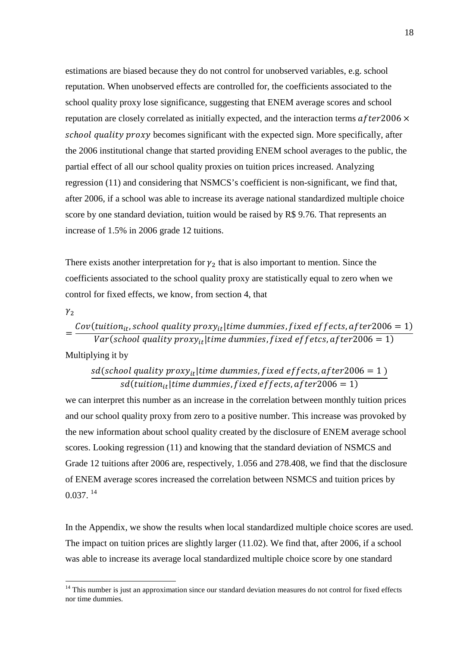estimations are biased because they do not control for unobserved variables, e.g. school reputation. When unobserved effects are controlled for, the coefficients associated to the school quality proxy lose significance, suggesting that ENEM average scores and school reputation are closely correlated as initially expected, and the interaction terms  $after2006 \times$ school quality proxy becomes significant with the expected sign. More specifically, after the 2006 institutional change that started providing ENEM school averages to the public, the partial effect of all our school quality proxies on tuition prices increased. Analyzing regression (11) and considering that NSMCS's coefficient is non-significant, we find that, after 2006, if a school was able to increase its average national standardized multiple choice score by one standard deviation, tuition would be raised by R\$ 9.76. That represents an increase of 1.5% in 2006 grade 12 tuitions.

There exists another interpretation for  $\gamma_2$  that is also important to mention. Since the coefficients associated to the school quality proxy are statistically equal to zero when we control for fixed effects, we know, from section 4, that

 $\gamma_2$ 

 $\overline{a}$ 

= Cov(tuition<sub>it</sub>, school quality proxy<sub>it</sub>|time dummies, fixed effects, after2006 = 1) Var(school quality proxy $_{it}|$ time dummies, fixed effetcs, after $2006=1)$ Multiplying it by

$$
sd(school quality proxy_{it} | time \, dummies, fixed \, effects, after 2006 = 1)
$$
\n
$$
sd(tution_{it} | time \, dummies, fixed \, effects, after 2006 = 1)
$$

we can interpret this number as an increase in the correlation between monthly tuition prices and our school quality proxy from zero to a positive number. This increase was provoked by the new information about school quality created by the disclosure of ENEM average school scores. Looking regression (11) and knowing that the standard deviation of NSMCS and Grade 12 tuitions after 2006 are, respectively, 1.056 and 278.408, we find that the disclosure of ENEM average scores increased the correlation between NSMCS and tuition prices by  $0.037.$ <sup>14</sup>

In the Appendix, we show the results when local standardized multiple choice scores are used. The impact on tuition prices are slightly larger (11.02). We find that, after 2006, if a school was able to increase its average local standardized multiple choice score by one standard

<sup>&</sup>lt;sup>14</sup> This number is just an approximation since our standard deviation measures do not control for fixed effects nor time dummies.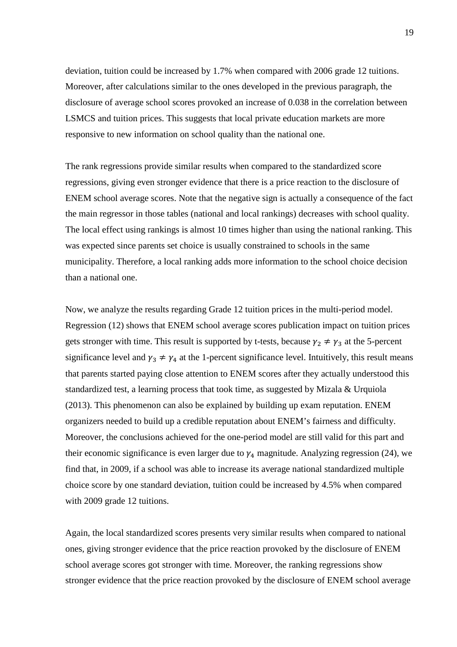deviation, tuition could be increased by 1.7% when compared with 2006 grade 12 tuitions. Moreover, after calculations similar to the ones developed in the previous paragraph, the disclosure of average school scores provoked an increase of 0.038 in the correlation between LSMCS and tuition prices. This suggests that local private education markets are more responsive to new information on school quality than the national one.

The rank regressions provide similar results when compared to the standardized score regressions, giving even stronger evidence that there is a price reaction to the disclosure of ENEM school average scores. Note that the negative sign is actually a consequence of the fact the main regressor in those tables (national and local rankings) decreases with school quality. The local effect using rankings is almost 10 times higher than using the national ranking. This was expected since parents set choice is usually constrained to schools in the same municipality. Therefore, a local ranking adds more information to the school choice decision than a national one.

Now, we analyze the results regarding Grade 12 tuition prices in the multi-period model. Regression (12) shows that ENEM school average scores publication impact on tuition prices gets stronger with time. This result is supported by t-tests, because  $\gamma_2 \neq \gamma_3$  at the 5-percent significance level and  $\gamma_3 \neq \gamma_4$  at the 1-percent significance level. Intuitively, this result means that parents started paying close attention to ENEM scores after they actually understood this standardized test, a learning process that took time, as suggested by Mizala & Urquiola (2013). This phenomenon can also be explained by building up exam reputation. ENEM organizers needed to build up a credible reputation about ENEM's fairness and difficulty. Moreover, the conclusions achieved for the one-period model are still valid for this part and their economic significance is even larger due to  $\gamma_4$  magnitude. Analyzing regression (24), we find that, in 2009, if a school was able to increase its average national standardized multiple choice score by one standard deviation, tuition could be increased by 4.5% when compared with 2009 grade 12 tuitions.

Again, the local standardized scores presents very similar results when compared to national ones, giving stronger evidence that the price reaction provoked by the disclosure of ENEM school average scores got stronger with time. Moreover, the ranking regressions show stronger evidence that the price reaction provoked by the disclosure of ENEM school average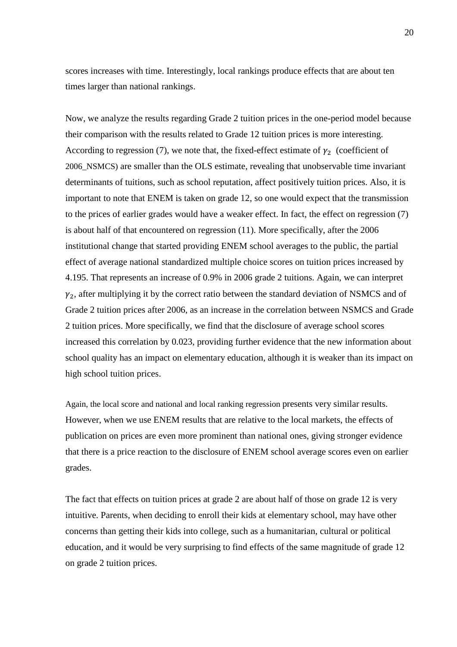scores increases with time. Interestingly, local rankings produce effects that are about ten times larger than national rankings.

Now, we analyze the results regarding Grade 2 tuition prices in the one-period model because their comparison with the results related to Grade 12 tuition prices is more interesting. According to regression (7), we note that, the fixed-effect estimate of  $\gamma_2$  (coefficient of 2006\_NSMCS) are smaller than the OLS estimate, revealing that unobservable time invariant determinants of tuitions, such as school reputation, affect positively tuition prices. Also, it is important to note that ENEM is taken on grade 12, so one would expect that the transmission to the prices of earlier grades would have a weaker effect. In fact, the effect on regression (7) is about half of that encountered on regression (11). More specifically, after the 2006 institutional change that started providing ENEM school averages to the public, the partial effect of average national standardized multiple choice scores on tuition prices increased by 4.195. That represents an increase of 0.9% in 2006 grade 2 tuitions. Again, we can interpret  $\gamma_2$ , after multiplying it by the correct ratio between the standard deviation of NSMCS and of Grade 2 tuition prices after 2006, as an increase in the correlation between NSMCS and Grade 2 tuition prices. More specifically, we find that the disclosure of average school scores increased this correlation by 0.023, providing further evidence that the new information about school quality has an impact on elementary education, although it is weaker than its impact on high school tuition prices.

Again, the local score and national and local ranking regression presents very similar results. However, when we use ENEM results that are relative to the local markets, the effects of publication on prices are even more prominent than national ones, giving stronger evidence that there is a price reaction to the disclosure of ENEM school average scores even on earlier grades.

The fact that effects on tuition prices at grade 2 are about half of those on grade 12 is very intuitive. Parents, when deciding to enroll their kids at elementary school, may have other concerns than getting their kids into college, such as a humanitarian, cultural or political education, and it would be very surprising to find effects of the same magnitude of grade 12 on grade 2 tuition prices.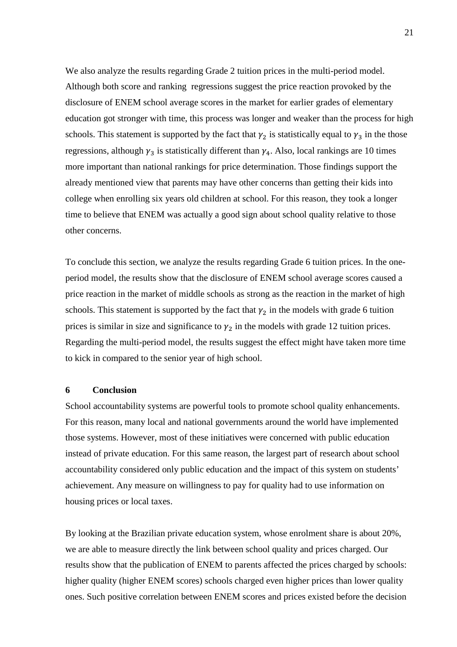We also analyze the results regarding Grade 2 tuition prices in the multi-period model. Although both score and ranking regressions suggest the price reaction provoked by the disclosure of ENEM school average scores in the market for earlier grades of elementary education got stronger with time, this process was longer and weaker than the process for high schools. This statement is supported by the fact that  $\gamma_2$  is statistically equal to  $\gamma_3$  in the those regressions, although  $\gamma_3$  is statistically different than  $\gamma_4$ . Also, local rankings are 10 times more important than national rankings for price determination. Those findings support the already mentioned view that parents may have other concerns than getting their kids into college when enrolling six years old children at school. For this reason, they took a longer time to believe that ENEM was actually a good sign about school quality relative to those other concerns.

To conclude this section, we analyze the results regarding Grade 6 tuition prices. In the oneperiod model, the results show that the disclosure of ENEM school average scores caused a price reaction in the market of middle schools as strong as the reaction in the market of high schools. This statement is supported by the fact that  $\gamma_2$  in the models with grade 6 tuition prices is similar in size and significance to  $\gamma_2$  in the models with grade 12 tuition prices. Regarding the multi-period model, the results suggest the effect might have taken more time to kick in compared to the senior year of high school.

#### **6 Conclusion**

School accountability systems are powerful tools to promote school quality enhancements. For this reason, many local and national governments around the world have implemented those systems. However, most of these initiatives were concerned with public education instead of private education. For this same reason, the largest part of research about school accountability considered only public education and the impact of this system on students' achievement. Any measure on willingness to pay for quality had to use information on housing prices or local taxes.

By looking at the Brazilian private education system, whose enrolment share is about 20%, we are able to measure directly the link between school quality and prices charged. Our results show that the publication of ENEM to parents affected the prices charged by schools: higher quality (higher ENEM scores) schools charged even higher prices than lower quality ones. Such positive correlation between ENEM scores and prices existed before the decision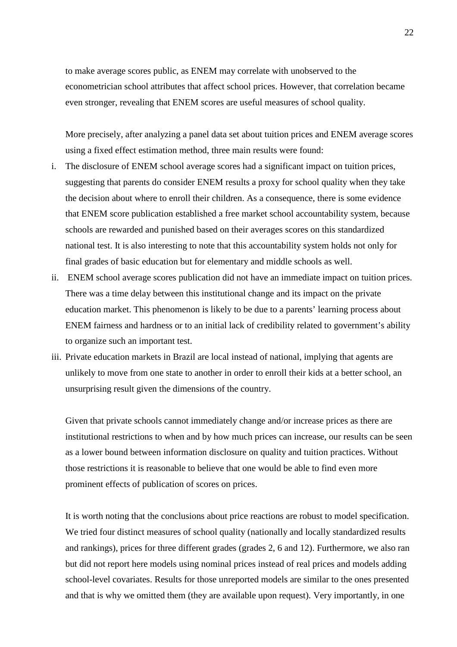to make average scores public, as ENEM may correlate with unobserved to the econometrician school attributes that affect school prices. However, that correlation became even stronger, revealing that ENEM scores are useful measures of school quality.

More precisely, after analyzing a panel data set about tuition prices and ENEM average scores using a fixed effect estimation method, three main results were found:

- i. The disclosure of ENEM school average scores had a significant impact on tuition prices, suggesting that parents do consider ENEM results a proxy for school quality when they take the decision about where to enroll their children. As a consequence, there is some evidence that ENEM score publication established a free market school accountability system, because schools are rewarded and punished based on their averages scores on this standardized national test. It is also interesting to note that this accountability system holds not only for final grades of basic education but for elementary and middle schools as well.
- ii. ENEM school average scores publication did not have an immediate impact on tuition prices. There was a time delay between this institutional change and its impact on the private education market. This phenomenon is likely to be due to a parents' learning process about ENEM fairness and hardness or to an initial lack of credibility related to government's ability to organize such an important test.
- iii. Private education markets in Brazil are local instead of national, implying that agents are unlikely to move from one state to another in order to enroll their kids at a better school, an unsurprising result given the dimensions of the country.

Given that private schools cannot immediately change and/or increase prices as there are institutional restrictions to when and by how much prices can increase, our results can be seen as a lower bound between information disclosure on quality and tuition practices. Without those restrictions it is reasonable to believe that one would be able to find even more prominent effects of publication of scores on prices.

It is worth noting that the conclusions about price reactions are robust to model specification. We tried four distinct measures of school quality (nationally and locally standardized results and rankings), prices for three different grades (grades 2, 6 and 12). Furthermore, we also ran but did not report here models using nominal prices instead of real prices and models adding school-level covariates. Results for those unreported models are similar to the ones presented and that is why we omitted them (they are available upon request). Very importantly, in one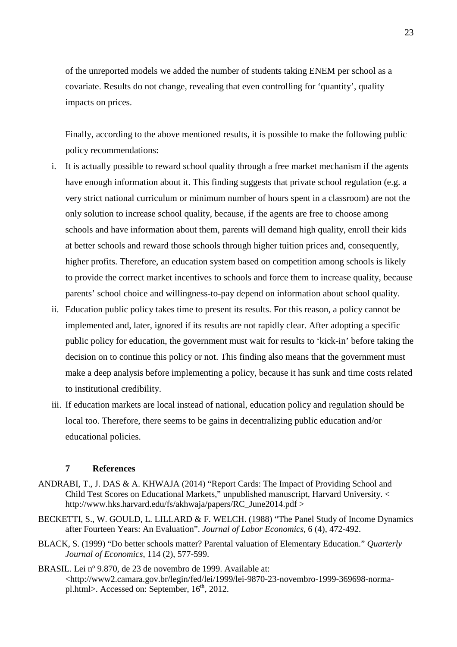of the unreported models we added the number of students taking ENEM per school as a covariate. Results do not change, revealing that even controlling for 'quantity', quality impacts on prices.

Finally, according to the above mentioned results, it is possible to make the following public policy recommendations:

- i. It is actually possible to reward school quality through a free market mechanism if the agents have enough information about it. This finding suggests that private school regulation (e.g. a very strict national curriculum or minimum number of hours spent in a classroom) are not the only solution to increase school quality, because, if the agents are free to choose among schools and have information about them, parents will demand high quality, enroll their kids at better schools and reward those schools through higher tuition prices and, consequently, higher profits. Therefore, an education system based on competition among schools is likely to provide the correct market incentives to schools and force them to increase quality, because parents' school choice and willingness-to-pay depend on information about school quality.
- ii. Education public policy takes time to present its results. For this reason, a policy cannot be implemented and, later, ignored if its results are not rapidly clear. After adopting a specific public policy for education, the government must wait for results to 'kick-in' before taking the decision on to continue this policy or not. This finding also means that the government must make a deep analysis before implementing a policy, because it has sunk and time costs related to institutional credibility.
- iii. If education markets are local instead of national, education policy and regulation should be local too. Therefore, there seems to be gains in decentralizing public education and/or educational policies.

#### **7 References**

- ANDRABI, T., J. DAS & A. KHWAJA (2014) "Report Cards: The Impact of Providing School and Child Test Scores on Educational Markets," unpublished manuscript, Harvard University. < http://www.hks.harvard.edu/fs/akhwaja/papers/RC\_June2014.pdf >
- BECKETTI, S., W. GOULD, L. LILLARD & F. WELCH. (1988) "The Panel Study of Income Dynamics after Fourteen Years: An Evaluation". *Journal of Labor Economics*, 6 (4), 472-492.
- BLACK, S. (1999) "Do better schools matter? Parental valuation of Elementary Education." *Quarterly Journal of Economics*, 114 (2), 577-599.
- BRASIL. Lei nº 9.870, de 23 de novembro de 1999. Available at: <http://www2.camara.gov.br/legin/fed/lei/1999/lei-9870-23-novembro-1999-369698-normapl.html>. Accessed on: September,  $16<sup>th</sup>$ , 2012.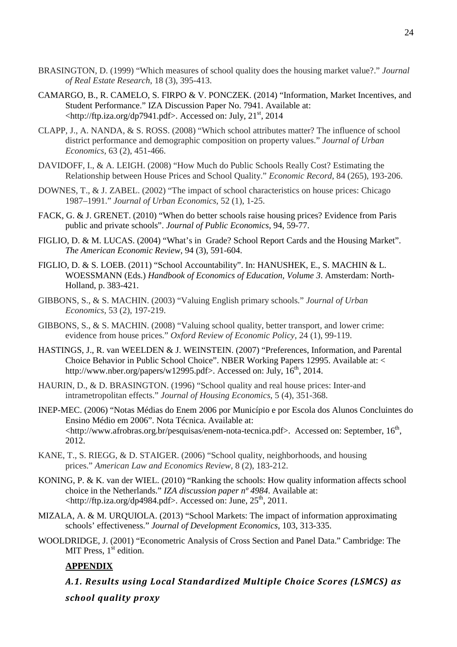- BRASINGTON, D. (1999) "Which measures of school quality does the housing market value?." *Journal of Real Estate Research*, 18 (3), 395-413.
- CAMARGO, B., R. CAMELO, S. FIRPO & V. PONCZEK. (2014) "Information, Market Incentives, and Student Performance." IZA Discussion Paper No. 7941. Available at:  $\lt$ http://ftp.iza.org/dp7941.pdf>. Accessed on: July, 21<sup>st</sup>, 2014
- CLAPP, J., A. NANDA, & S. ROSS. (2008) "Which school attributes matter? The influence of school district performance and demographic composition on property values." *Journal of Urban Economics*, 63 (2), 451-466.
- DAVIDOFF, I., & A. LEIGH. (2008) "How Much do Public Schools Really Cost? Estimating the Relationship between House Prices and School Quality." *Economic Record*, 84 (265), 193-206.
- DOWNES, T., & J. ZABEL. (2002) "The impact of school characteristics on house prices: Chicago 1987–1991." *Journal of Urban Economics*, 52 (1), 1-25.
- FACK, G. & J. GRENET. (2010) "When do better schools raise housing prices? Evidence from Paris public and private schools". *Journal of Public Economics*, 94, 59-77.
- FIGLIO, D. & M. LUCAS. (2004) "What's in Grade? School Report Cards and the Housing Market". *The American Economic Review*, 94 (3), 591-604.
- FIGLIO, D. & S. LOEB. (2011) "School Accountability". In: HANUSHEK, E., S. MACHIN & L. WOESSMANN (Eds.) *Handbook of Economics of Education, Volume 3*. Amsterdam: North-Holland, p. 383-421.
- GIBBONS, S., & S. MACHIN. (2003) "Valuing English primary schools." *Journal of Urban Economics*, 53 (2), 197-219.
- GIBBONS, S., & S. MACHIN. (2008) "Valuing school quality, better transport, and lower crime: evidence from house prices." *Oxford Review of Economic Policy*, 24 (1), 99-119.
- HASTINGS, J., R. van WEELDEN & J. WEINSTEIN. (2007) "Preferences, Information, and Parental Choice Behavior in Public School Choice". NBER Working Papers 12995. Available at: < http://www.nber.org/papers/w12995.pdf>. Accessed on: July,  $16^{th}$ , 2014.
- HAURIN, D., & D. BRASINGTON. (1996) "School quality and real house prices: Inter-and intrametropolitan effects." *Journal of Housing Economics*, 5 (4), 351-368.
- INEP-MEC. (2006) "Notas Médias do Enem 2006 por Município e por Escola dos Alunos Concluintes do Ensino Médio em 2006". Nota Técnica. Available at: <http://www.afrobras.org.br/pesquisas/enem-nota-tecnica.pdf>. Accessed on: September, 16<sup>th</sup>, 2012.
- KANE, T., S. RIEGG, & D. STAIGER. (2006) "School quality, neighborhoods, and housing prices." *American Law and Economics Review*, 8 (2), 183-212.
- KONING, P. & K. van der WIEL. (2010) "Ranking the schools: How quality information affects school choice in the Netherlands." *IZA discussion paper nº 4984*. Available at:  $\lt$ http://ftp.iza.org/dp4984.pdf>. Accessed on: June, 25<sup>th</sup>, 2011.
- MIZALA, A. & M. URQUIOLA. (2013) "School Markets: The impact of information approximating schools' effectiveness." *Journal of Development Economics*, 103, 313-335.
- WOOLDRIDGE, J. (2001) "Econometric Analysis of Cross Section and Panel Data." Cambridge: The MIT Press,  $1<sup>st</sup>$  edition.

#### **APPENDIX**

*A.1. Results using Local Standardized Multiple Choice Scores (LSMCS) as* 

*school quality proxy*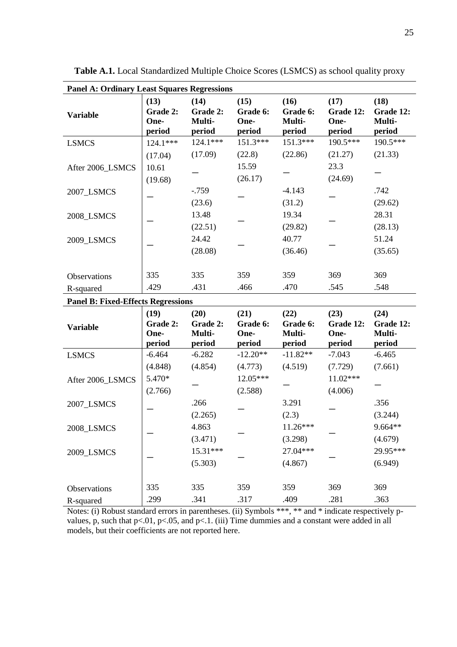| <b>Panel A: Ordinary Least Squares Regressions</b> |                                    |                                      |                                    |                                      |                                     |                                       |
|----------------------------------------------------|------------------------------------|--------------------------------------|------------------------------------|--------------------------------------|-------------------------------------|---------------------------------------|
| <b>Variable</b>                                    | (13)<br>Grade 2:<br>One-<br>period | (14)<br>Grade 2:<br>Multi-<br>period | (15)<br>Grade 6:<br>One-<br>period | (16)<br>Grade 6:<br>Multi-<br>period | (17)<br>Grade 12:<br>One-<br>period | (18)<br>Grade 12:<br>Multi-<br>period |
| <b>LSMCS</b>                                       | $124.1***$                         | 124.1***                             | 151.3***                           | 151.3***                             | 190.5***                            | 190.5***                              |
|                                                    | (17.04)                            | (17.09)                              | (22.8)                             | (22.86)                              | (21.27)                             | (21.33)                               |
| After 2006 LSMCS                                   | 10.61                              |                                      | 15.59                              |                                      | 23.3                                |                                       |
|                                                    | (19.68)                            |                                      | (26.17)                            |                                      | (24.69)                             |                                       |
| 2007_LSMCS                                         |                                    | $-0.759$                             |                                    | $-4.143$                             |                                     | .742                                  |
|                                                    |                                    | (23.6)                               |                                    | (31.2)                               |                                     | (29.62)                               |
| 2008_LSMCS                                         |                                    | 13.48                                |                                    | 19.34                                |                                     | 28.31                                 |
|                                                    |                                    | (22.51)                              |                                    | (29.82)                              |                                     | (28.13)                               |
| 2009_LSMCS                                         |                                    | 24.42                                |                                    | 40.77                                |                                     | 51.24                                 |
|                                                    |                                    | (28.08)                              |                                    | (36.46)                              |                                     | (35.65)                               |
|                                                    |                                    |                                      |                                    |                                      |                                     |                                       |
| Observations                                       | 335                                | 335                                  | 359                                | 359                                  | 369                                 | 369                                   |
| R-squared                                          | .429                               | .431                                 | .466                               | .470                                 | .545                                | .548                                  |
| <b>Panel B: Fixed-Effects Regressions</b>          |                                    |                                      |                                    |                                      |                                     |                                       |
| <b>Variable</b>                                    | (19)<br>Grade 2:<br>One-<br>period | (20)<br>Grade 2:<br>Multi-<br>period | (21)<br>Grade 6:<br>One-<br>period | (22)<br>Grade 6:<br>Multi-<br>period | (23)<br>Grade 12:<br>One-<br>period | (24)<br>Grade 12:<br>Multi-<br>period |
| <b>LSMCS</b>                                       | $-6.464$                           | $-6.282$                             | $-12.20**$                         | $-11.82**$                           | $-7.043$                            | $-6.465$                              |
|                                                    | (4.848)                            | (4.854)                              | (4.773)                            | (4.519)                              | (7.729)                             | (7.661)                               |
| After 2006_LSMCS                                   | 5.470*                             |                                      | 12.05***                           |                                      | 11.02***                            |                                       |
|                                                    | (2.766)                            |                                      | (2.588)                            |                                      | (4.006)                             |                                       |
| 2007_LSMCS                                         |                                    | .266                                 |                                    | 3.291                                |                                     | .356                                  |
|                                                    |                                    | (2.265)                              |                                    | (2.3)                                |                                     | (3.244)                               |
| 2008_LSMCS                                         |                                    | 4.863                                |                                    | $11.26***$                           |                                     | $9.664**$                             |
|                                                    |                                    | (3.471)                              |                                    | (3.298)                              |                                     | (4.679)                               |
| 2009_LSMCS                                         |                                    | 15.31***                             |                                    | 27.04***                             |                                     | 29.95***                              |
|                                                    |                                    | (5.303)                              |                                    | (4.867)                              |                                     | (6.949)                               |
|                                                    |                                    |                                      |                                    |                                      |                                     |                                       |
| Observations                                       | 335                                | 335                                  | 359                                | 359                                  | 369                                 | 369                                   |
| R-squared                                          | .299                               | .341                                 | .317                               | .409                                 | .281                                | .363                                  |

**Table A.1.** Local Standardized Multiple Choice Scores (LSMCS) as school quality proxy

Notes: (i) Robust standard errors in parentheses. (ii) Symbols \*\*\*, \*\* and \* indicate respectively pvalues, p, such that p<.01, p<.05, and p<.1. (iii) Time dummies and a constant were added in all models, but their coefficients are not reported here.